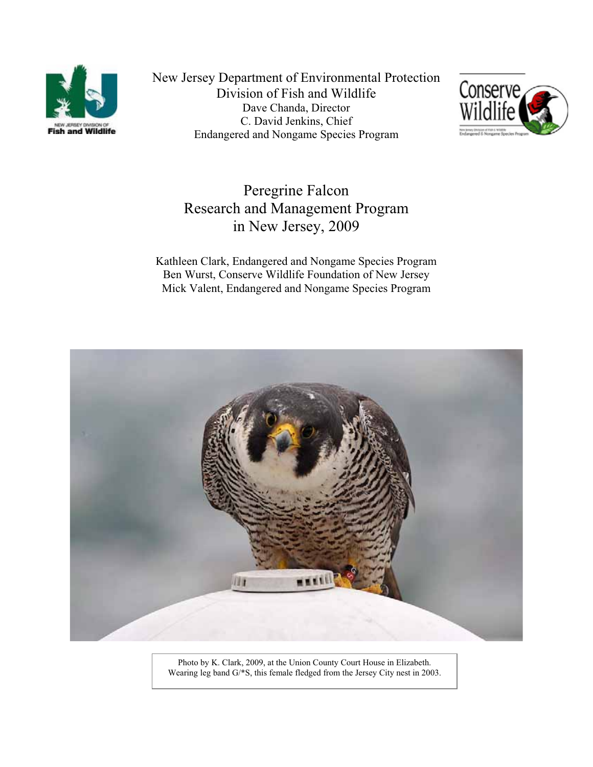

New Jersey Department of Environmental Protection Division of Fish and Wildlife Dave Chanda, Director C. David Jenkins, Chief Endangered and Nongame Species Program



Peregrine Falcon Research and Management Program in New Jersey, 2009

Kathleen Clark, Endangered and Nongame Species Program Ben Wurst, Conserve Wildlife Foundation of New Jersey Mick Valent, Endangered and Nongame Species Program



Photo by K. Clark, 2009, at the Union County Court House in Elizabeth. Wearing leg band G/\*S, this female fledged from the Jersey City nest in 2003.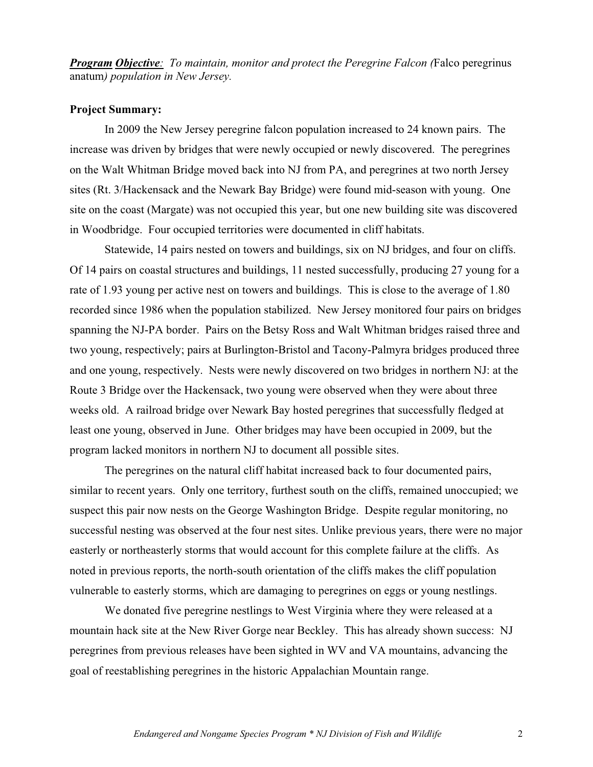*Program Objective: To maintain, monitor and protect the Peregrine Falcon (*Falco peregrinus anatum*) population in New Jersey.*

# **Project Summary:**

In 2009 the New Jersey peregrine falcon population increased to 24 known pairs. The increase was driven by bridges that were newly occupied or newly discovered. The peregrines on the Walt Whitman Bridge moved back into NJ from PA, and peregrines at two north Jersey sites (Rt. 3/Hackensack and the Newark Bay Bridge) were found mid-season with young. One site on the coast (Margate) was not occupied this year, but one new building site was discovered in Woodbridge. Four occupied territories were documented in cliff habitats.

Statewide, 14 pairs nested on towers and buildings, six on NJ bridges, and four on cliffs. Of 14 pairs on coastal structures and buildings, 11 nested successfully, producing 27 young for a rate of 1.93 young per active nest on towers and buildings. This is close to the average of 1.80 recorded since 1986 when the population stabilized. New Jersey monitored four pairs on bridges spanning the NJ-PA border. Pairs on the Betsy Ross and Walt Whitman bridges raised three and two young, respectively; pairs at Burlington-Bristol and Tacony-Palmyra bridges produced three and one young, respectively. Nests were newly discovered on two bridges in northern NJ: at the Route 3 Bridge over the Hackensack, two young were observed when they were about three weeks old. A railroad bridge over Newark Bay hosted peregrines that successfully fledged at least one young, observed in June. Other bridges may have been occupied in 2009, but the program lacked monitors in northern NJ to document all possible sites.

The peregrines on the natural cliff habitat increased back to four documented pairs, similar to recent years. Only one territory, furthest south on the cliffs, remained unoccupied; we suspect this pair now nests on the George Washington Bridge. Despite regular monitoring, no successful nesting was observed at the four nest sites. Unlike previous years, there were no major easterly or northeasterly storms that would account for this complete failure at the cliffs. As noted in previous reports, the north-south orientation of the cliffs makes the cliff population vulnerable to easterly storms, which are damaging to peregrines on eggs or young nestlings.

We donated five peregrine nestlings to West Virginia where they were released at a mountain hack site at the New River Gorge near Beckley. This has already shown success: NJ peregrines from previous releases have been sighted in WV and VA mountains, advancing the goal of reestablishing peregrines in the historic Appalachian Mountain range.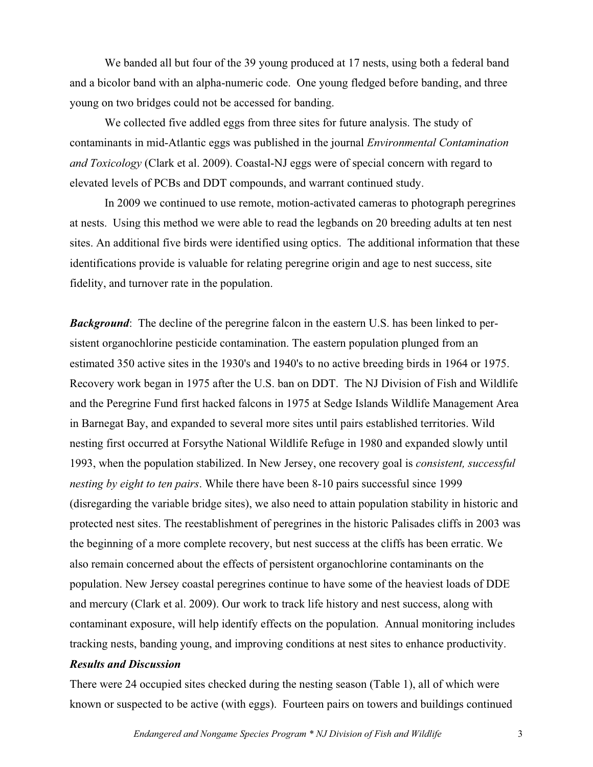We banded all but four of the 39 young produced at 17 nests, using both a federal band and a bicolor band with an alpha-numeric code. One young fledged before banding, and three young on two bridges could not be accessed for banding.

We collected five addled eggs from three sites for future analysis. The study of contaminants in mid-Atlantic eggs was published in the journal *Environmental Contamination and Toxicology* (Clark et al. 2009). Coastal-NJ eggs were of special concern with regard to elevated levels of PCBs and DDT compounds, and warrant continued study.

In 2009 we continued to use remote, motion-activated cameras to photograph peregrines at nests. Using this method we were able to read the legbands on 20 breeding adults at ten nest sites. An additional five birds were identified using optics. The additional information that these identifications provide is valuable for relating peregrine origin and age to nest success, site fidelity, and turnover rate in the population.

**Background:** The decline of the peregrine falcon in the eastern U.S. has been linked to persistent organochlorine pesticide contamination. The eastern population plunged from an estimated 350 active sites in the 1930's and 1940's to no active breeding birds in 1964 or 1975. Recovery work began in 1975 after the U.S. ban on DDT. The NJ Division of Fish and Wildlife and the Peregrine Fund first hacked falcons in 1975 at Sedge Islands Wildlife Management Area in Barnegat Bay, and expanded to several more sites until pairs established territories. Wild nesting first occurred at Forsythe National Wildlife Refuge in 1980 and expanded slowly until 1993, when the population stabilized. In New Jersey, one recovery goal is *consistent, successful nesting by eight to ten pairs*. While there have been 8-10 pairs successful since 1999 (disregarding the variable bridge sites), we also need to attain population stability in historic and protected nest sites. The reestablishment of peregrines in the historic Palisades cliffs in 2003 was the beginning of a more complete recovery, but nest success at the cliffs has been erratic. We also remain concerned about the effects of persistent organochlorine contaminants on the population. New Jersey coastal peregrines continue to have some of the heaviest loads of DDE and mercury (Clark et al. 2009). Our work to track life history and nest success, along with contaminant exposure, will help identify effects on the population. Annual monitoring includes tracking nests, banding young, and improving conditions at nest sites to enhance productivity.

### *Results and Discussion*

There were 24 occupied sites checked during the nesting season (Table 1), all of which were known or suspected to be active (with eggs). Fourteen pairs on towers and buildings continued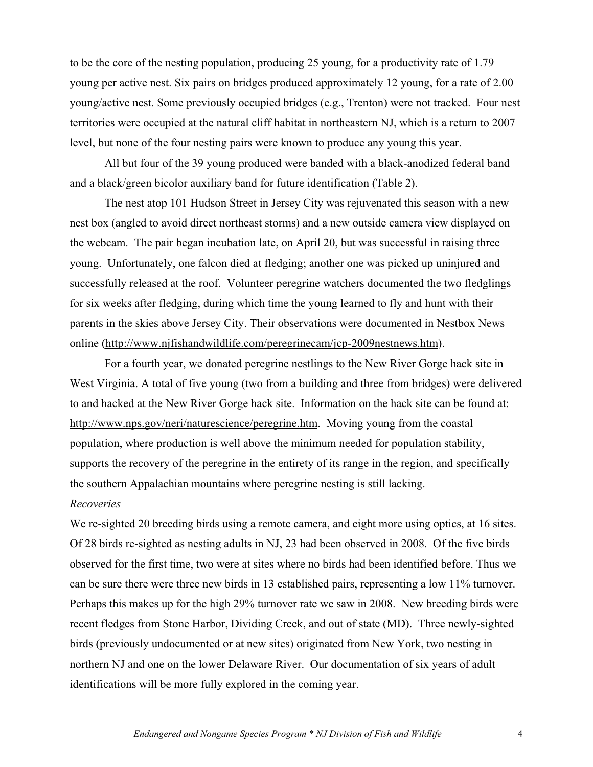to be the core of the nesting population, producing 25 young, for a productivity rate of 1.79 young per active nest. Six pairs on bridges produced approximately 12 young, for a rate of 2.00 young/active nest. Some previously occupied bridges (e.g., Trenton) were not tracked. Four nest territories were occupied at the natural cliff habitat in northeastern NJ, which is a return to 2007 level, but none of the four nesting pairs were known to produce any young this year.

All but four of the 39 young produced were banded with a black-anodized federal band and a black/green bicolor auxiliary band for future identification (Table 2).

The nest atop 101 Hudson Street in Jersey City was rejuvenated this season with a new nest box (angled to avoid direct northeast storms) and a new outside camera view displayed on the webcam. The pair began incubation late, on April 20, but was successful in raising three young. Unfortunately, one falcon died at fledging; another one was picked up uninjured and successfully released at the roof. Volunteer peregrine watchers documented the two fledglings for six weeks after fledging, during which time the young learned to fly and hunt with their parents in the skies above Jersey City. Their observations were documented in Nestbox News online (http://www.njfishandwildlife.com/peregrinecam/jcp-2009nestnews.htm).

For a fourth year, we donated peregrine nestlings to the New River Gorge hack site in West Virginia. A total of five young (two from a building and three from bridges) were delivered to and hacked at the New River Gorge hack site. Information on the hack site can be found at: http://www.nps.gov/neri/naturescience/peregrine.htm. Moving young from the coastal population, where production is well above the minimum needed for population stability, supports the recovery of the peregrine in the entirety of its range in the region, and specifically the southern Appalachian mountains where peregrine nesting is still lacking.

#### *Recoveries*

We re-sighted 20 breeding birds using a remote camera, and eight more using optics, at 16 sites. Of 28 birds re-sighted as nesting adults in NJ, 23 had been observed in 2008. Of the five birds observed for the first time, two were at sites where no birds had been identified before. Thus we can be sure there were three new birds in 13 established pairs, representing a low 11% turnover. Perhaps this makes up for the high 29% turnover rate we saw in 2008. New breeding birds were recent fledges from Stone Harbor, Dividing Creek, and out of state (MD). Three newly-sighted birds (previously undocumented or at new sites) originated from New York, two nesting in northern NJ and one on the lower Delaware River. Our documentation of six years of adult identifications will be more fully explored in the coming year.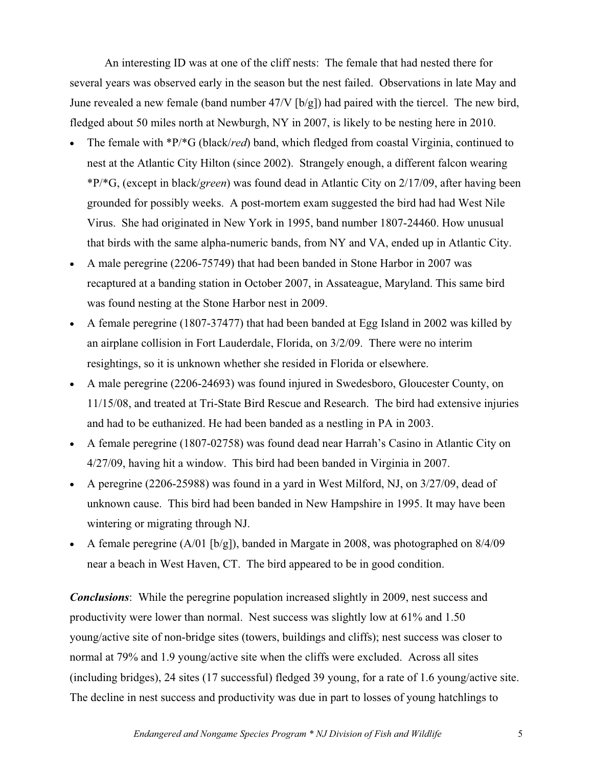An interesting ID was at one of the cliff nests: The female that had nested there for several years was observed early in the season but the nest failed. Observations in late May and June revealed a new female (band number 47/V [b/g]) had paired with the tiercel. The new bird, fledged about 50 miles north at Newburgh, NY in 2007, is likely to be nesting here in 2010.

- - The female with \*P/\*G (black/*red*) band, which fledged from coastal Virginia, continued to nest at the Atlantic City Hilton (since 2002). Strangely enough, a different falcon wearing \*P/\*G, (except in black/*green*) was found dead in Atlantic City on 2/17/09, after having been grounded for possibly weeks. A post-mortem exam suggested the bird had had West Nile Virus. She had originated in New York in 1995, band number 1807-24460. How unusual that birds with the same alpha-numeric bands, from NY and VA, ended up in Atlantic City.
- - A male peregrine (2206-75749) that had been banded in Stone Harbor in 2007 was recaptured at a banding station in October 2007, in Assateague, Maryland. This same bird was found nesting at the Stone Harbor nest in 2009.
- $\bullet$  A female peregrine (1807-37477) that had been banded at Egg Island in 2002 was killed by an airplane collision in Fort Lauderdale, Florida, on 3/2/09. There were no interim resightings, so it is unknown whether she resided in Florida or elsewhere.
- $\bullet$  A male peregrine (2206-24693) was found injured in Swedesboro, Gloucester County, on 11/15/08, and treated at Tri-State Bird Rescue and Research. The bird had extensive injuries and had to be euthanized. He had been banded as a nestling in PA in 2003.
- $\bullet$  A female peregrine (1807-02758) was found dead near Harrah's Casino in Atlantic City on 4/27/09, having hit a window. This bird had been banded in Virginia in 2007.
- $\bullet$  A peregrine (2206-25988) was found in a yard in West Milford, NJ, on 3/27/09, dead of unknown cause. This bird had been banded in New Hampshire in 1995. It may have been wintering or migrating through NJ.
- - A female peregrine (A/01 [b/g]), banded in Margate in 2008, was photographed on 8/4/09 near a beach in West Haven, CT. The bird appeared to be in good condition.

*Conclusions*: While the peregrine population increased slightly in 2009, nest success and productivity were lower than normal. Nest success was slightly low at 61% and 1.50 young/active site of non-bridge sites (towers, buildings and cliffs); nest success was closer to normal at 79% and 1.9 young/active site when the cliffs were excluded. Across all sites (including bridges), 24 sites (17 successful) fledged 39 young, for a rate of 1.6 young/active site. The decline in nest success and productivity was due in part to losses of young hatchlings to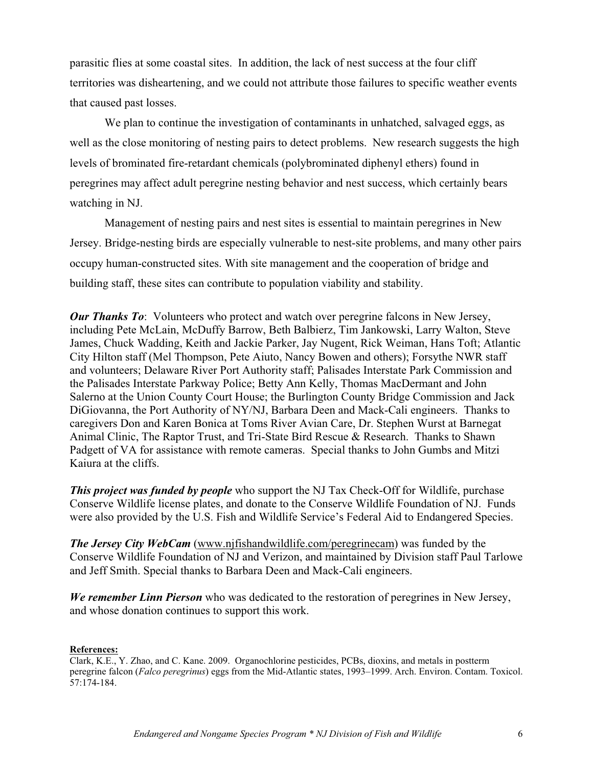parasitic flies at some coastal sites. In addition, the lack of nest success at the four cliff territories was disheartening, and we could not attribute those failures to specific weather events that caused past losses.

We plan to continue the investigation of contaminants in unhatched, salvaged eggs, as well as the close monitoring of nesting pairs to detect problems. New research suggests the high levels of brominated fire-retardant chemicals (polybrominated diphenyl ethers) found in peregrines may affect adult peregrine nesting behavior and nest success, which certainly bears watching in NJ.

Management of nesting pairs and nest sites is essential to maintain peregrines in New Jersey. Bridge-nesting birds are especially vulnerable to nest-site problems, and many other pairs occupy human-constructed sites. With site management and the cooperation of bridge and building staff, these sites can contribute to population viability and stability.

*Our Thanks To*: Volunteers who protect and watch over peregrine falcons in New Jersey, including Pete McLain, McDuffy Barrow, Beth Balbierz, Tim Jankowski, Larry Walton, Steve James, Chuck Wadding, Keith and Jackie Parker, Jay Nugent, Rick Weiman, Hans Toft; Atlantic City Hilton staff (Mel Thompson, Pete Aiuto, Nancy Bowen and others); Forsythe NWR staff and volunteers; Delaware River Port Authority staff; Palisades Interstate Park Commission and the Palisades Interstate Parkway Police; Betty Ann Kelly, Thomas MacDermant and John Salerno at the Union County Court House; the Burlington County Bridge Commission and Jack DiGiovanna, the Port Authority of NY/NJ, Barbara Deen and Mack-Cali engineers. Thanks to caregivers Don and Karen Bonica at Toms River Avian Care, Dr. Stephen Wurst at Barnegat Animal Clinic, The Raptor Trust, and Tri-State Bird Rescue & Research. Thanks to Shawn Padgett of VA for assistance with remote cameras. Special thanks to John Gumbs and Mitzi Kaiura at the cliffs.

*This project was funded by people* who support the NJ Tax Check-Off for Wildlife, purchase Conserve Wildlife license plates, and donate to the Conserve Wildlife Foundation of NJ. Funds were also provided by the U.S. Fish and Wildlife Service's Federal Aid to Endangered Species.

*The Jersey City WebCam* (www.njfishandwildlife.com/peregrinecam) was funded by the Conserve Wildlife Foundation of NJ and Verizon, and maintained by Division staff Paul Tarlowe and Jeff Smith. Special thanks to Barbara Deen and Mack-Cali engineers.

*We remember Linn Pierson* who was dedicated to the restoration of peregrines in New Jersey, and whose donation continues to support this work.

**References:** Clark, K.E., Y. Zhao, and C. Kane. 2009. Organochlorine pesticides, PCBs, dioxins, and metals in postterm peregrine falcon (*Falco peregrinus*) eggs from the Mid-Atlantic states, 1993–1999. Arch. Environ. Contam. Toxicol. 57:174-184.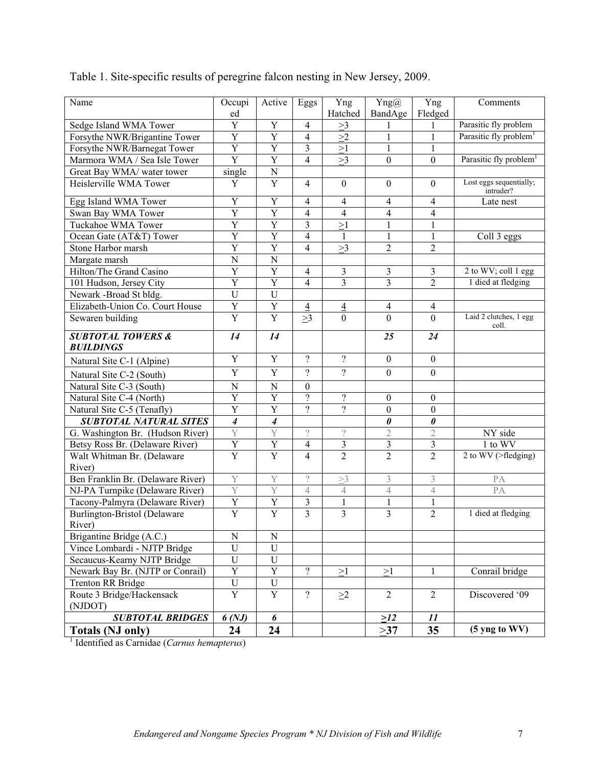| Name                                                    | Occupi                  | Active           | Eggs                     | Yng                      | $\text{Yng}(a)$         | Yng              | Comments                             |
|---------------------------------------------------------|-------------------------|------------------|--------------------------|--------------------------|-------------------------|------------------|--------------------------------------|
|                                                         | ed                      |                  |                          | Hatched                  | BandAge                 | Fledged          |                                      |
| Sedge Island WMA Tower                                  | Y                       | Y                | $\overline{4}$           | >3                       | 1                       | 1                | Parasitic fly problem                |
| Forsythe NWR/Brigantine Tower                           | $\mathbf Y$             | Y                | $\overline{4}$           | >2                       | $\mathbf{1}$            | $\mathbf{1}$     | Parasitic fly problem <sup>1</sup>   |
| Forsythe NWR/Barnegat Tower                             | $\mathbf Y$             | $\mathbf Y$      | 3                        | $\geq$ 1                 | $\mathbf{1}$            | 1                |                                      |
| Marmora WMA / Sea Isle Tower                            | $\overline{\mathrm{Y}}$ | $\mathbf Y$      | $\overline{4}$           | >3                       | $\boldsymbol{0}$        | $\overline{0}$   | Parasitic fly problem <sup>1</sup>   |
| Great Bay WMA/ water tower                              | single                  | ${\bf N}$        |                          |                          |                         |                  |                                      |
| Heislerville WMA Tower                                  | Y                       | $\mathbf Y$      | $\overline{4}$           | $\boldsymbol{0}$         | $\boldsymbol{0}$        | $\boldsymbol{0}$ | Lost eggs sequentially;<br>intruder? |
| Egg Island WMA Tower                                    | Y                       | Y                | $\overline{4}$           | $\overline{4}$           | $\overline{4}$          | $\overline{4}$   | Late nest                            |
| Swan Bay WMA Tower                                      | Y                       | Y                | $\overline{4}$           | $\overline{\mathcal{A}}$ | $\overline{4}$          | $\overline{4}$   |                                      |
| Tuckahoe WMA Tower                                      | Y                       | Y                | 3                        | >1                       | $\mathbf{1}$            | $\mathbf{1}$     |                                      |
| Ocean Gate (AT&T) Tower                                 | $\overline{Y}$          | Y                | $\overline{4}$           | $\mathbf{1}$             | $\mathbf{1}$            | $\mathbf{1}$     | Coll 3 eggs                          |
| Stone Harbor marsh                                      | Y                       | Y                | $\overline{4}$           | >3                       | $\overline{2}$          | $\overline{2}$   |                                      |
| Margate marsh                                           | $\mathbf N$             | $\mathbf N$      |                          |                          |                         |                  |                                      |
| Hilton/The Grand Casino                                 | Y                       | Y                | $\overline{4}$           | 3                        | $\mathfrak{Z}$          | 3                | 2 to WV; coll 1 egg                  |
| 101 Hudson, Jersey City                                 | Y                       | Y                | $\overline{4}$           | 3                        | 3                       | $\overline{2}$   | 1 died at fledging                   |
| Newark -Broad St bldg.                                  | $\mathbf U$             | $\mathbf U$      |                          |                          |                         |                  |                                      |
| Elizabeth-Union Co. Court House                         | $\mathbf Y$             | $\mathbf Y$      | $\overline{4}$           | $\overline{4}$           | $\overline{4}$          | $\overline{4}$   |                                      |
| Sewaren building                                        | Y                       | $\overline{Y}$   | >3                       | $\mathbf{0}$             | $\mathbf{0}$            | $\overline{0}$   | Laid 2 clutches, 1 egg<br>coll.      |
| <b>SUBTOTAL TOWERS &amp;</b>                            | 14                      | 14               |                          |                          | 25                      | 24               |                                      |
| <b>BUILDINGS</b>                                        |                         |                  |                          |                          |                         |                  |                                      |
| Natural Site C-1 (Alpine)                               | Y                       | $\mathbf Y$      | $\gamma$                 | $\overline{?}$           | $\boldsymbol{0}$        | $\mathbf{0}$     |                                      |
| Natural Site C-2 (South)                                | Y                       | Y                | $\gamma$                 | $\gamma$                 | $\boldsymbol{0}$        | $\mathbf{0}$     |                                      |
| Natural Site C-3 (South)                                | $\mathbf N$             | $\mathbf N$      | $\mathbf{0}$             |                          |                         |                  |                                      |
| Natural Site C-4 (North)                                | Y                       | $\mathbf Y$      | $\overline{\mathcal{L}}$ | $\overline{\mathcal{L}}$ | $\boldsymbol{0}$        | $\mathbf{0}$     |                                      |
| Natural Site C-5 (Tenafly)                              | Y                       | Y                | $\overline{?}$           | $\overline{\mathcal{L}}$ | $\boldsymbol{0}$        | $\boldsymbol{0}$ |                                      |
| <b>SUBTOTAL NATURAL SITES</b>                           | $\boldsymbol{4}$        | $\boldsymbol{4}$ |                          |                          | $\pmb{\theta}$          | $\pmb{\theta}$   |                                      |
| G. Washington Br. (Hudson River)                        | Y                       | Y                | $\overline{\phantom{a}}$ | $\, ?$                   | $\sqrt{2}$              | $\mathbf{2}$     | NY side                              |
| Betsy Ross Br. (Delaware River)                         | $\mathbf Y$             | $\mathbf Y$      | $\overline{4}$           | 3                        | $\mathfrak{Z}$          | 3                | 1 to WV                              |
| Walt Whitman Br. (Delaware                              | $\mathbf Y$             | $\overline{Y}$   | $\overline{4}$           | $\overline{2}$           | $\overline{2}$          | $\overline{2}$   | 2 to WV (>fledging)                  |
| River)                                                  |                         |                  |                          |                          |                         |                  |                                      |
| Ben Franklin Br. (Delaware River)                       | Y                       | Y                | $\hat{.}$                | $\geq$ 3                 | $\mathfrak{Z}$          | $\mathfrak{Z}$   | PA                                   |
| NJ-PA Turnpike (Delaware River)                         | Y                       | Y                | 4                        | $\sqrt{4}$               | $\sqrt{4}$              | $\overline{4}$   | PA                                   |
| Tacony-Palmyra (Delaware River)                         | $\overline{Y}$          | $\overline{Y}$   | $\mathfrak{Z}$           | $\,1$                    | $\,1$                   | $\mathbf{1}$     |                                      |
| Burlington-Bristol (Delaware                            | $\overline{Y}$          | $\overline{Y}$   | $\overline{3}$           | $\overline{\mathbf{3}}$  | $\overline{\mathbf{3}}$ | $\overline{2}$   | 1 died at fledging                   |
| River)                                                  |                         |                  |                          |                          |                         |                  |                                      |
| Brigantine Bridge (A.C.)                                | ${\bf N}$               | ${\bf N}$        |                          |                          |                         |                  |                                      |
| Vince Lombardi - NJTP Bridge                            | $\mathbf U$             | U                |                          |                          |                         |                  |                                      |
| Secaucus-Kearny NJTP Bridge                             | U                       | $\mathbf U$      |                          |                          |                         |                  |                                      |
| Newark Bay Br. (NJTP or Conrail)                        | $\mathbf Y$             | $\mathbf Y$      | $\overline{\mathcal{L}}$ | $\geq$ 1                 | $\geq$ 1                | 1                | Conrail bridge                       |
| <b>Trenton RR Bridge</b>                                | ${\bf U}$               | ${\bf U}$        |                          |                          |                         |                  |                                      |
| Route 3 Bridge/Hackensack                               | $\mathbf Y$             | $\mathbf Y$      | $\overline{?}$           | $\geq$ 2                 | $\overline{2}$          | $\overline{2}$   | Discovered '09                       |
| (NJDOT)                                                 |                         |                  |                          |                          |                         |                  |                                      |
| <b>SUBTOTAL BRIDGES</b>                                 | 6(NJ)                   | 6                |                          |                          | $\geq$ 12               | 11               |                                      |
| <b>Totals (NJ only)</b>                                 | 24                      | 24               |                          |                          | >37                     | 35               | (5 yng to WV)                        |
| <sup>1</sup> Identified as Carnidae (Carnus hemapterus) |                         |                  |                          |                          |                         |                  |                                      |

## Table 1. Site-specific results of peregrine falcon nesting in New Jersey, 2009.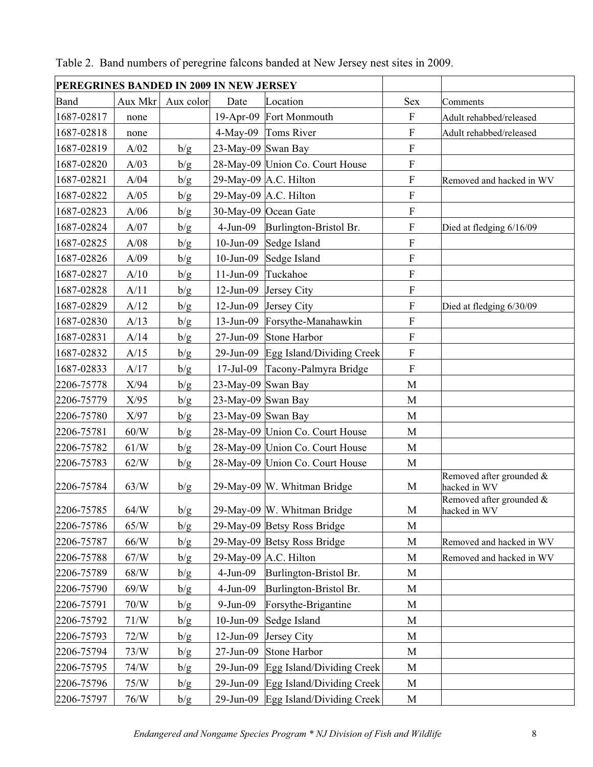| PEREGRINES BANDED IN 2009 IN NEW JERSEY |                 |           |                    |                                 |                           |                                          |
|-----------------------------------------|-----------------|-----------|--------------------|---------------------------------|---------------------------|------------------------------------------|
| Band                                    | Aux Mkr         | Aux color | Date               | Location                        | <b>Sex</b>                | Comments                                 |
| 1687-02817                              | none            |           |                    | 19-Apr-09 Fort Monmouth         | ${\bf F}$                 | Adult rehabbed/released                  |
| 1687-02818                              | none            |           | $4$ -May-09        | Toms River                      | $\boldsymbol{\mathrm{F}}$ | Adult rehabbed/released                  |
| 1687-02819                              | A/02            | b/g       | 23-May-09 Swan Bay |                                 | $\overline{F}$            |                                          |
| 1687-02820                              | A/03            | b/g       |                    | 28-May-09 Union Co. Court House | $\boldsymbol{\mathrm{F}}$ |                                          |
| 1687-02821                              | A/04            | b/g       |                    | 29-May-09 A.C. Hilton           | $\boldsymbol{\mathrm{F}}$ | Removed and hacked in WV                 |
| 1687-02822                              | A/05            | b/g       |                    | 29-May-09 $A.C. Hilton$         | $\overline{F}$            |                                          |
| 1687-02823                              | A/06            | b/g       |                    | 30-May-09 Ocean Gate            | $\boldsymbol{\mathrm{F}}$ |                                          |
| 1687-02824                              | A/07            | b/g       | $4-Jun-09$         | Burlington-Bristol Br.          | $\boldsymbol{\mathrm{F}}$ | Died at fledging 6/16/09                 |
| 1687-02825                              | A/08            | b/g       | $10$ -Jun-09       | Sedge Island                    | $\overline{F}$            |                                          |
| 1687-02826                              | A/09            | b/g       | $10$ -Jun-09       | Sedge Island                    | $\mathbf F$               |                                          |
| 1687-02827                              | A/10            | b/g       | $11-Jun-09$        | Tuckahoe                        | ${\bf F}$                 |                                          |
| 1687-02828                              | A/11            | b/g       | $12$ -Jun-09       | Jersey City                     | $\overline{F}$            |                                          |
| 1687-02829                              | A/12            | b/g       | $12-Jun-09$        | Jersey City                     | $\mathbf F$               | Died at fledging 6/30/09                 |
| 1687-02830                              | A/13            | b/g       | $13$ -Jun-09       | Forsythe-Manahawkin             | $\overline{F}$            |                                          |
| 1687-02831                              | A/14            | b/g       | $27$ -Jun-09       | Stone Harbor                    | $\mathbf F$               |                                          |
| 1687-02832                              | A/15            | b/g       | $29$ -Jun-09       | Egg Island/Dividing Creek       | $\boldsymbol{\mathrm{F}}$ |                                          |
| 1687-02833                              | A/17            | b/g       | 17-Jul-09          | Tacony-Palmyra Bridge           | $\overline{F}$            |                                          |
| 2206-75778                              | X/94            | b/g       | 23-May-09 Swan Bay |                                 | M                         |                                          |
| 2206-75779                              | X/95            | b/g       | 23-May-09 Swan Bay |                                 | M                         |                                          |
| 2206-75780                              | X/97            | b/g       | 23-May-09 Swan Bay |                                 | M                         |                                          |
| 2206-75781                              | $60/W$          | b/g       |                    | 28-May-09 Union Co. Court House | $\mathbf M$               |                                          |
| 2206-75782                              | 61/W            | b/g       |                    | 28-May-09 Union Co. Court House | M                         |                                          |
| 2206-75783                              | 62/W            | b/g       |                    | 28-May-09 Union Co. Court House | $\mathbf M$               |                                          |
| 2206-75784                              | 63/W            | b/g       |                    | 29-May-09 W. Whitman Bridge     | M                         | Removed after grounded &<br>hacked in WV |
| 2206-75785                              | 64/W            | b/g       |                    | 29-May-09 W. Whitman Bridge     | M                         | Removed after grounded &<br>hacked in WV |
| 2206-75786                              | 65/W            | b/g       |                    | 29-May-09 Betsy Ross Bridge     | M                         |                                          |
| 2206-75787                              | $66/\mathrm{W}$ | b/g       |                    | 29-May-09 Betsy Ross Bridge     | M                         | Removed and hacked in WV                 |
| 2206-75788                              | 67/W            | b/g       |                    | 29-May-09 $A.C.$ Hilton         | M                         | Removed and hacked in WV                 |
| 2206-75789                              | 68/W            | b/g       | $4-Jun-09$         | Burlington-Bristol Br.          | M                         |                                          |
| 2206-75790                              | 69/W            | b/g       | 4-Jun-09           | Burlington-Bristol Br.          | $\mathbf M$               |                                          |
| 2206-75791                              | $70/W$          | b/g       | $9-Jun-09$         | Forsythe-Brigantine             | M                         |                                          |
| 2206-75792                              | 71/W            | b/g       | $10$ -Jun-09       | Sedge Island                    | M                         |                                          |
| 2206-75793                              | 72/W            | b/g       | 12-Jun-09          | Jersey City                     | M                         |                                          |
| 2206-75794                              | 73/W            | b/g       | 27-Jun-09          | Stone Harbor                    | M                         |                                          |
| 2206-75795                              | 74/W            | b/g       | 29-Jun-09          | Egg Island/Dividing Creek       | M                         |                                          |
| 2206-75796                              | 75/W            | b/g       | 29-Jun-09          | Egg Island/Dividing Creek       | $\mathbf M$               |                                          |
| 2206-75797                              | $76/W$          | b/g       | 29-Jun-09          | Egg Island/Dividing Creek       | $\mathbf M$               |                                          |

Table 2. Band numbers of peregrine falcons banded at New Jersey nest sites in 2009.